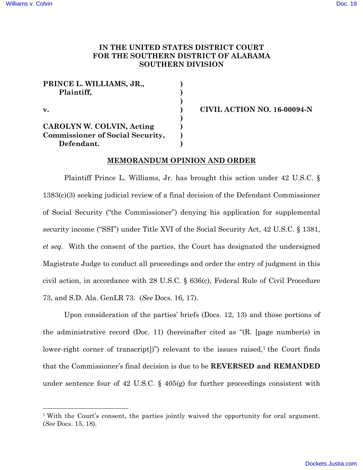# **IN THE UNITED STATES DISTRICT COURT FOR THE SOUTHERN DISTRICT OF ALABAMA SOUTHERN DIVISION**

| PRINCE L. WILLIAMS, JR.,                |  |
|-----------------------------------------|--|
| Plaintiff,                              |  |
| $\mathbf{v}$ .                          |  |
|                                         |  |
|                                         |  |
| CAROLYN W. COLVIN, Acting               |  |
| <b>Commissioner of Social Security,</b> |  |
| Defendant.                              |  |

**v. ) CIVIL ACTION NO. 16-00094-N**

### **MEMORANDUM OPINION AND ORDER**

Plaintiff Prince L. Williams, Jr. has brought this action under 42 U.S.C. § 1383(c)(3) seeking judicial review of a final decision of the Defendant Commissioner of Social Security ("the Commissioner") denying his application for supplemental security income ("SSI") under Title XVI of the Social Security Act, 42 U.S.C. § 1381, *et seq*. With the consent of the parties, the Court has designated the undersigned Magistrate Judge to conduct all proceedings and order the entry of judgment in this civil action, in accordance with 28 U.S.C. § 636(c), Federal Rule of Civil Procedure 73, and S.D. Ala. GenLR 73. (*See* Docs. 16, 17).

Upon consideration of the parties' briefs (Docs. 12, 13) and those portions of the administrative record (Doc. 11) (hereinafter cited as "(R. [page number(s) in lower-right corner of transcript])") relevant to the issues raised, $\frac{1}{1}$  the Court finds that the Commissioner's final decision is due to be **REVERSED and REMANDED**  under sentence four of 42 U.S.C. § 405(g) for further proceedings consistent with

<sup>&</sup>lt;sup>1</sup> With the Court's consent, the parties jointly waived the opportunity for oral argument. (*See* Docs. 15, 18).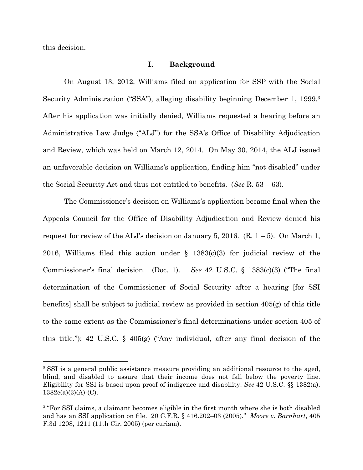this decision.

#### **I. Background**

On August 13, 2012, Williams filed an application for SSI2 with the Social Security Administration ("SSA"), alleging disability beginning December 1, 1999.3 After his application was initially denied, Williams requested a hearing before an Administrative Law Judge ("ALJ") for the SSA's Office of Disability Adjudication and Review, which was held on March 12, 2014. On May 30, 2014, the ALJ issued an unfavorable decision on Williams's application, finding him "not disabled" under the Social Security Act and thus not entitled to benefits. (*See* R. 53 – 63).

The Commissioner's decision on Williams's application became final when the Appeals Council for the Office of Disability Adjudication and Review denied his request for review of the ALJ's decision on January 5, 2016.  $(R. 1-5)$ . On March 1, 2016, Williams filed this action under § 1383(c)(3) for judicial review of the Commissioner's final decision. (Doc. 1). *See* 42 U.S.C. § 1383(c)(3) ("The final determination of the Commissioner of Social Security after a hearing [for SSI benefits] shall be subject to judicial review as provided in section 405(g) of this title to the same extent as the Commissioner's final determinations under section 405 of this title."); 42 U.S.C. § 405(g) ("Any individual, after any final decision of the

 <sup>2</sup> SSI is a general public assistance measure providing an additional resource to the aged, blind, and disabled to assure that their income does not fall below the poverty line. Eligibility for SSI is based upon proof of indigence and disability. *See* 42 U.S.C. §§ 1382(a),  $1382c(a)(3)(A)-(C)$ .

<sup>&</sup>lt;sup>3</sup> "For SSI claims, a claimant becomes eligible in the first month where she is both disabled and has an SSI application on file. 20 C.F.R. § 416.202–03 (2005)." *Moore v. Barnhart*, 405 F.3d 1208, 1211 (11th Cir. 2005) (per curiam).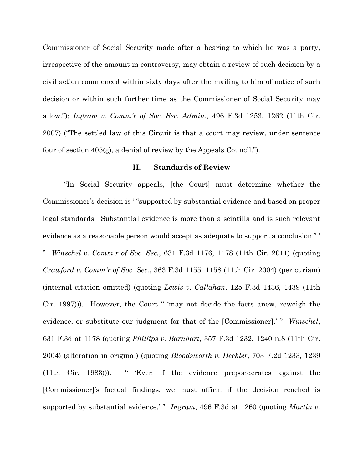Commissioner of Social Security made after a hearing to which he was a party, irrespective of the amount in controversy, may obtain a review of such decision by a civil action commenced within sixty days after the mailing to him of notice of such decision or within such further time as the Commissioner of Social Security may allow."); *Ingram v. Comm'r of Soc. Sec. Admin.*, 496 F.3d 1253, 1262 (11th Cir. 2007) ("The settled law of this Circuit is that a court may review, under sentence four of section 405(g), a denial of review by the Appeals Council.").

## **II. Standards of Review**

"In Social Security appeals, [the Court] must determine whether the Commissioner's decision is ' "supported by substantial evidence and based on proper legal standards. Substantial evidence is more than a scintilla and is such relevant evidence as a reasonable person would accept as adequate to support a conclusion." '

" *Winschel v. Comm'r of Soc. Sec.*, 631 F.3d 1176, 1178 (11th Cir. 2011) (quoting *Crawford v. Comm'r of Soc. Sec.*, 363 F.3d 1155, 1158 (11th Cir. 2004) (per curiam) (internal citation omitted) (quoting *Lewis v. Callahan*, 125 F.3d 1436, 1439 (11th Cir. 1997))). However, the Court " 'may not decide the facts anew, reweigh the evidence, or substitute our judgment for that of the [Commissioner].' " *Winschel*, 631 F.3d at 1178 (quoting *Phillips v. Barnhart*, 357 F.3d 1232, 1240 n.8 (11th Cir. 2004) (alteration in original) (quoting *Bloodsworth v. Heckler*, 703 F.2d 1233, 1239 (11th Cir. 1983))). " 'Even if the evidence preponderates against the [Commissioner]'s factual findings, we must affirm if the decision reached is supported by substantial evidence.' " *Ingram*, 496 F.3d at 1260 (quoting *Martin v*.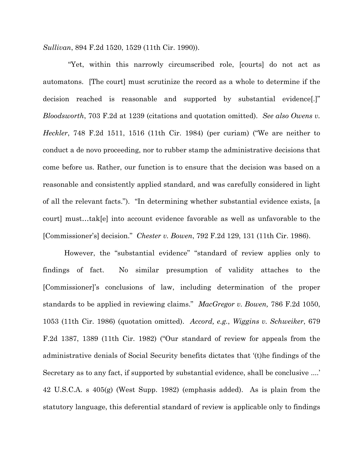*Sullivan*, 894 F.2d 1520, 1529 (11th Cir. 1990)).

 "Yet, within this narrowly circumscribed role, [courts] do not act as automatons. [The court] must scrutinize the record as a whole to determine if the decision reached is reasonable and supported by substantial evidence[.]" *Bloodsworth*, 703 F.2d at 1239 (citations and quotation omitted). *See also Owens v. Heckler*, 748 F.2d 1511, 1516 (11th Cir. 1984) (per curiam) ("We are neither to conduct a de novo proceeding, nor to rubber stamp the administrative decisions that come before us. Rather, our function is to ensure that the decision was based on a reasonable and consistently applied standard, and was carefully considered in light of all the relevant facts."). "In determining whether substantial evidence exists, [a court] must…tak[e] into account evidence favorable as well as unfavorable to the [Commissioner's] decision." *Chester v. Bowen*, 792 F.2d 129, 131 (11th Cir. 1986).

However, the "substantial evidence" "standard of review applies only to findings of fact. No similar presumption of validity attaches to the [Commissioner]'s conclusions of law, including determination of the proper standards to be applied in reviewing claims." *MacGregor v. Bowen,* 786 F.2d 1050, 1053 (11th Cir. 1986) (quotation omitted). *Accord, e.g.*, *Wiggins v. Schweiker*, 679 F.2d 1387, 1389 (11th Cir. 1982) ("Our standard of review for appeals from the administrative denials of Social Security benefits dictates that '(t)he findings of the Secretary as to any fact, if supported by substantial evidence, shall be conclusive ....' 42 U.S.C.A. s 405(g) (West Supp. 1982) (emphasis added). As is plain from the statutory language, this deferential standard of review is applicable only to findings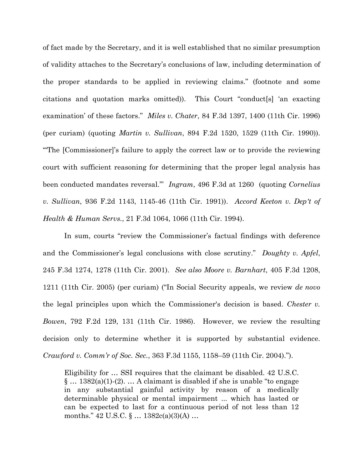of fact made by the Secretary, and it is well established that no similar presumption of validity attaches to the Secretary's conclusions of law, including determination of the proper standards to be applied in reviewing claims." (footnote and some citations and quotation marks omitted)). This Court "conduct[s] 'an exacting examination' of these factors." *Miles v. Chater*, 84 F.3d 1397, 1400 (11th Cir. 1996) (per curiam) (quoting *Martin v. Sullivan*, 894 F.2d 1520, 1529 (11th Cir. 1990)). "'The [Commissioner]'s failure to apply the correct law or to provide the reviewing court with sufficient reasoning for determining that the proper legal analysis has been conducted mandates reversal.'" *Ingram*, 496 F.3d at 1260 (quoting *Cornelius v. Sullivan*, 936 F.2d 1143, 1145-46 (11th Cir. 1991)). *Accord Keeton v. Dep't of Health & Human Servs.*, 21 F.3d 1064, 1066 (11th Cir. 1994).

In sum, courts "review the Commissioner's factual findings with deference and the Commissioner's legal conclusions with close scrutiny." *Doughty v. Apfel*, 245 F.3d 1274, 1278 (11th Cir. 2001). *See also Moore v. Barnhart*, 405 F.3d 1208, 1211 (11th Cir. 2005) (per curiam) ("In Social Security appeals, we review *de novo* the legal principles upon which the Commissioner's decision is based. *Chester v. Bowen*, 792 F.2d 129, 131 (11th Cir. 1986). However, we review the resulting decision only to determine whether it is supported by substantial evidence. *Crawford v. Comm'r of Soc. Sec.*, 363 F.3d 1155, 1158–59 (11th Cir. 2004).").

Eligibility for … SSI requires that the claimant be disabled. 42 U.S.C.  $\S$  ... 1382(a)(1)-(2). ... A claimant is disabled if she is unable "to engage in any substantial gainful activity by reason of a medically determinable physical or mental impairment ... which has lasted or can be expected to last for a continuous period of not less than 12 months."  $42 \text{ U.S.C.}$   $\frac{6}{5}$  ...  $1382c(a)(3)(A)$  ...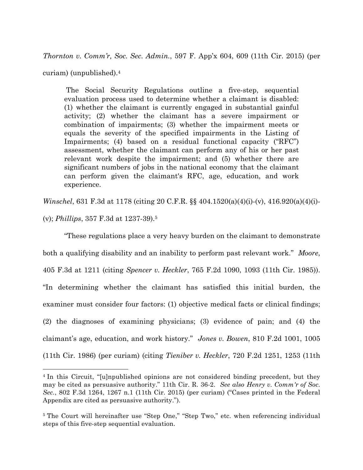*Thornton v. Comm'r, Soc. Sec. Admin.*, 597 F. App'x 604, 609 (11th Cir. 2015) (per

curiam) (unpublished).4

The Social Security Regulations outline a five-step, sequential evaluation process used to determine whether a claimant is disabled: (1) whether the claimant is currently engaged in substantial gainful activity; (2) whether the claimant has a severe impairment or combination of impairments; (3) whether the impairment meets or equals the severity of the specified impairments in the Listing of Impairments; (4) based on a residual functional capacity ("RFC") assessment, whether the claimant can perform any of his or her past relevant work despite the impairment; and (5) whether there are significant numbers of jobs in the national economy that the claimant can perform given the claimant's RFC, age, education, and work experience.

*Winschel*, 631 F.3d at 1178 (citing 20 C.F.R. §§ 404.1520(a)(4)(i)-(v), 416.920(a)(4)(i)-

(v); *Phillips*, 357 F.3d at 1237-39).5

"These regulations place a very heavy burden on the claimant to demonstrate both a qualifying disability and an inability to perform past relevant work." *Moore*, 405 F.3d at 1211 (citing *Spencer v. Heckler*, 765 F.2d 1090, 1093 (11th Cir. 1985)). "In determining whether the claimant has satisfied this initial burden, the examiner must consider four factors: (1) objective medical facts or clinical findings; (2) the diagnoses of examining physicians; (3) evidence of pain; and (4) the claimant's age, education, and work history." *Jones v. Bowen*, 810 F.2d 1001, 1005 (11th Cir. 1986) (per curiam) (citing *Tieniber v. Heckler*, 720 F.2d 1251, 1253 (11th

<sup>&</sup>lt;sup>4</sup> In this Circuit, "[u]npublished opinions are not considered binding precedent, but they may be cited as persuasive authority." 11th Cir. R. 36-2. *See also Henry v. Comm'r of Soc. Sec.*, 802 F.3d 1264, 1267 n.1 (11th Cir. 2015) (per curiam) ("Cases printed in the Federal Appendix are cited as persuasive authority.").

<sup>&</sup>lt;sup>5</sup> The Court will hereinafter use "Step One," "Step Two," etc. when referencing individual steps of this five-step sequential evaluation.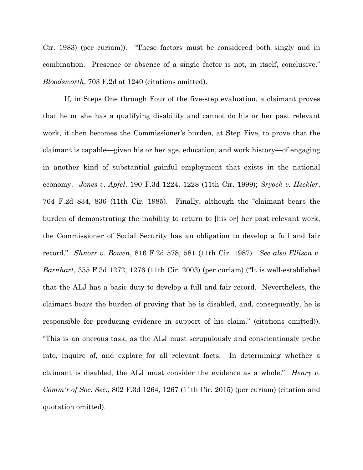Cir. 1983) (per curiam)). "These factors must be considered both singly and in combination. Presence or absence of a single factor is not, in itself, conclusive." *Bloodsworth*, 703 F.2d at 1240 (citations omitted).

If, in Steps One through Four of the five-step evaluation, a claimant proves that he or she has a qualifying disability and cannot do his or her past relevant work, it then becomes the Commissioner's burden, at Step Five, to prove that the claimant is capable—given his or her age, education, and work history—of engaging in another kind of substantial gainful employment that exists in the national economy. *Jones v. Apfel*, 190 F.3d 1224, 1228 (11th Cir. 1999); *Sryock v. Heckler*, 764 F.2d 834, 836 (11th Cir. 1985). Finally, although the "claimant bears the burden of demonstrating the inability to return to [his or] her past relevant work, the Commissioner of Social Security has an obligation to develop a full and fair record." *Shnorr v. Bowen*, 816 F.2d 578, 581 (11th Cir. 1987). *See also Ellison v. Barnhart*, 355 F.3d 1272, 1276 (11th Cir. 2003) (per curiam) ("It is well-established that the ALJ has a basic duty to develop a full and fair record. Nevertheless, the claimant bears the burden of proving that he is disabled, and, consequently, he is responsible for producing evidence in support of his claim." (citations omitted)). "This is an onerous task, as the ALJ must scrupulously and conscientiously probe into, inquire of, and explore for all relevant facts. In determining whether a claimant is disabled, the ALJ must consider the evidence as a whole." *Henry v. Comm'r of Soc. Sec.*, 802 F.3d 1264, 1267 (11th Cir. 2015) (per curiam) (citation and quotation omitted).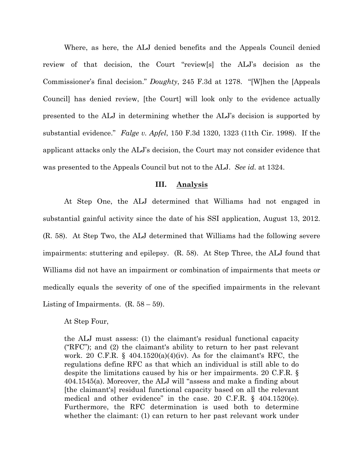Where, as here, the ALJ denied benefits and the Appeals Council denied review of that decision, the Court "review[s] the ALJ's decision as the Commissioner's final decision." *Doughty*, 245 F.3d at 1278. "[W]hen the [Appeals Council] has denied review, [the Court] will look only to the evidence actually presented to the ALJ in determining whether the ALJ's decision is supported by substantial evidence." *Falge v. Apfel*, 150 F.3d 1320, 1323 (11th Cir. 1998). If the applicant attacks only the ALJ's decision, the Court may not consider evidence that was presented to the Appeals Council but not to the ALJ. *See id.* at 1324.

### **III. Analysis**

At Step One, the ALJ determined that Williams had not engaged in substantial gainful activity since the date of his SSI application, August 13, 2012. (R. 58). At Step Two, the ALJ determined that Williams had the following severe impairments: stuttering and epilepsy. (R. 58). At Step Three, the ALJ found that Williams did not have an impairment or combination of impairments that meets or medically equals the severity of one of the specified impairments in the relevant Listing of Impairments.  $(R. 58 - 59)$ .

At Step Four,

the ALJ must assess: (1) the claimant's residual functional capacity ("RFC"); and (2) the claimant's ability to return to her past relevant work. 20 C.F.R. §  $404.1520(a)(4)(iv)$ . As for the claimant's RFC, the regulations define RFC as that which an individual is still able to do despite the limitations caused by his or her impairments. 20 C.F.R. § 404.1545(a). Moreover, the ALJ will "assess and make a finding about [the claimant's] residual functional capacity based on all the relevant medical and other evidence" in the case. 20 C.F.R. § 404.1520(e). Furthermore, the RFC determination is used both to determine whether the claimant: (1) can return to her past relevant work under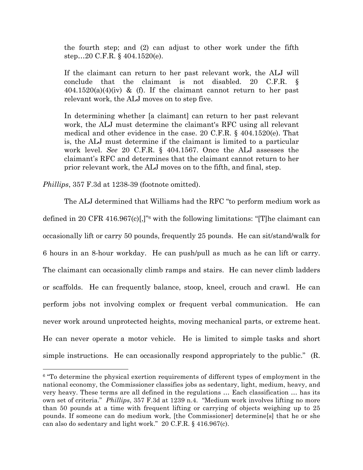the fourth step; and (2) can adjust to other work under the fifth step…20 C.F.R. § 404.1520(e).

If the claimant can return to her past relevant work, the ALJ will conclude that the claimant is not disabled. 20 C.F.R. §  $404.1520(a)(4)(iv)$  & (f). If the claimant cannot return to her past relevant work, the ALJ moves on to step five.

In determining whether [a claimant] can return to her past relevant work, the ALJ must determine the claimant's RFC using all relevant medical and other evidence in the case. 20 C.F.R. § 404.1520(e). That is, the ALJ must determine if the claimant is limited to a particular work level. *See* 20 C.F.R. § 404.1567. Once the ALJ assesses the claimant's RFC and determines that the claimant cannot return to her prior relevant work, the ALJ moves on to the fifth, and final, step.

*Phillips*, 357 F.3d at 1238-39 (footnote omitted).

The ALJ determined that Williams had the RFC "to perform medium work as defined in 20 CFR 416.967(c)[,]"6 with the following limitations: "[T]he claimant can occasionally lift or carry 50 pounds, frequently 25 pounds. He can sit/stand/walk for 6 hours in an 8-hour workday. He can push/pull as much as he can lift or carry. The claimant can occasionally climb ramps and stairs. He can never climb ladders or scaffolds. He can frequently balance, stoop, kneel, crouch and crawl. He can perform jobs not involving complex or frequent verbal communication. He can never work around unprotected heights, moving mechanical parts, or extreme heat. He can never operate a motor vehicle. He is limited to simple tasks and short simple instructions. He can occasionally respond appropriately to the public." (R.

 <sup>6</sup> "To determine the physical exertion requirements of different types of employment in the national economy, the Commissioner classifies jobs as sedentary, light, medium, heavy, and very heavy. These terms are all defined in the regulations … Each classification … has its own set of criteria." *Phillips*, 357 F.3d at 1239 n.4. "Medium work involves lifting no more than 50 pounds at a time with frequent lifting or carrying of objects weighing up to 25 pounds. If someone can do medium work, [the Commissioner] determine[s] that he or she can also do sedentary and light work." 20 C.F.R. § 416.967(c).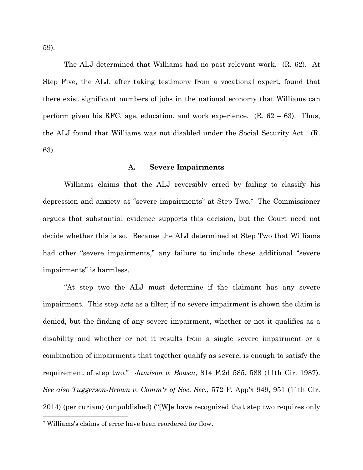59).

The ALJ determined that Williams had no past relevant work. (R. 62). At Step Five, the ALJ, after taking testimony from a vocational expert, found that there exist significant numbers of jobs in the national economy that Williams can perform given his RFC, age, education, and work experience.  $(R. 62 - 63)$ . Thus, the ALJ found that Williams was not disabled under the Social Security Act. (R. 63).

### **A. Severe Impairments**

Williams claims that the ALJ reversibly erred by failing to classify his depression and anxiety as "severe impairments" at Step Two.7 The Commissioner argues that substantial evidence supports this decision, but the Court need not decide whether this is so. Because the ALJ determined at Step Two that Williams had other "severe impairments," any failure to include these additional "severe impairments" is harmless.

"At step two the ALJ must determine if the claimant has any severe impairment. This step acts as a filter; if no severe impairment is shown the claim is denied, but the finding of any severe impairment, whether or not it qualifies as a disability and whether or not it results from a single severe impairment or a combination of impairments that together qualify as severe, is enough to satisfy the requirement of step two." *Jamison v. Bowen*, 814 F.2d 585, 588 (11th Cir. 1987). *See also Tuggerson-Brown v. Comm'r of Soc. Sec.*, 572 F. App'x 949, 951 (11th Cir. 2014) (per curiam) (unpublished) ("[W]e have recognized that step two requires only

 <sup>7</sup> Williams's claims of error have been reordered for flow.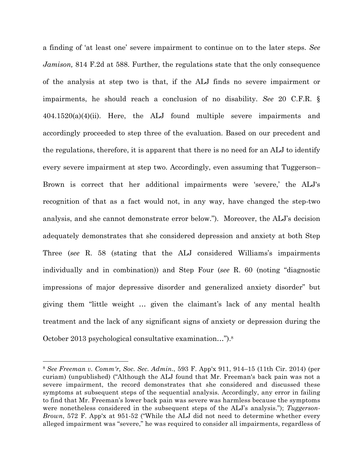a finding of 'at least one' severe impairment to continue on to the later steps. *See Jamison,* 814 F.2d at 588. Further, the regulations state that the only consequence of the analysis at step two is that, if the ALJ finds no severe impairment or impairments, he should reach a conclusion of no disability. *See* 20 C.F.R. § 404.1520(a)(4)(ii). Here, the ALJ found multiple severe impairments and accordingly proceeded to step three of the evaluation. Based on our precedent and the regulations, therefore, it is apparent that there is no need for an ALJ to identify every severe impairment at step two. Accordingly, even assuming that Tuggerson– Brown is correct that her additional impairments were 'severe,' the ALJ's recognition of that as a fact would not, in any way, have changed the step-two analysis, and she cannot demonstrate error below."). Moreover, the ALJ's decision adequately demonstrates that she considered depression and anxiety at both Step Three (*see* R. 58 (stating that the ALJ considered Williams's impairments individually and in combination)) and Step Four (*see* R. 60 (noting "diagnostic impressions of major depressive disorder and generalized anxiety disorder" but giving them "little weight … given the claimant's lack of any mental health treatment and the lack of any significant signs of anxiety or depression during the October 2013 psychological consultative examination…").8

 <sup>8</sup> *See Freeman v. Comm'r, Soc. Sec. Admin.*, 593 F. App'x 911, 914–15 (11th Cir. 2014) (per curiam) (unpublished) ("Although the ALJ found that Mr. Freeman's back pain was not a severe impairment, the record demonstrates that she considered and discussed these symptoms at subsequent steps of the sequential analysis. Accordingly, any error in failing to find that Mr. Freeman's lower back pain was severe was harmless because the symptoms were nonetheless considered in the subsequent steps of the ALJ's analysis."); *Tuggerson-Brown*, 572 F. App'x at 951-52 ("While the ALJ did not need to determine whether every alleged impairment was "severe," he was required to consider all impairments, regardless of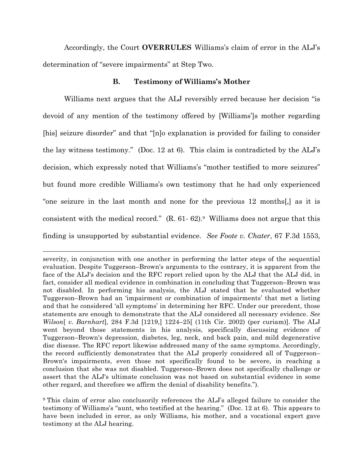Accordingly, the Court **OVERRULES** Williams's claim of error in the ALJ's determination of "severe impairments" at Step Two.

## **B. Testimony of Williams's Mother**

Williams next argues that the ALJ reversibly erred because her decision "is devoid of any mention of the testimony offered by [Williams']s mother regarding [his] seizure disorder" and that "[n]o explanation is provided for failing to consider the lay witness testimony." (Doc. 12 at 6). This claim is contradicted by the ALJ's decision, which expressly noted that Williams's "mother testified to more seizures" but found more credible Williams's own testimony that he had only experienced "one seizure in the last month and none for the previous 12 months[,] as it is consistent with the medical record." (R. 61- 62).9 Williams does not argue that this finding is unsupported by substantial evidence. *See Foote v. Chater*, 67 F.3d 1553,

1

severity, in conjunction with one another in performing the latter steps of the sequential evaluation. Despite Tuggerson–Brown's arguments to the contrary, it is apparent from the face of the ALJ's decision and the RFC report relied upon by the ALJ that the ALJ did, in fact, consider all medical evidence in combination in concluding that Tuggerson–Brown was not disabled. In performing his analysis, the ALJ stated that he evaluated whether Tuggerson–Brown had an 'impairment or combination of impairments' that met a listing and that he considered 'all symptoms' in determining her RFC. Under our precedent, those statements are enough to demonstrate that the ALJ considered all necessary evidence. *See Wilson*[ *v. Barnhart*]*,* 284 F.3d [1219,] 1224–25[ (11th Cir. 2002) (per curiam)]. The ALJ went beyond those statements in his analysis, specifically discussing evidence of Tuggerson–Brown's depression, diabetes, leg, neck, and back pain, and mild degenerative disc disease. The RFC report likewise addressed many of the same symptoms. Accordingly, the record sufficiently demonstrates that the ALJ properly considered all of Tuggerson– Brown's impairments, even those not specifically found to be severe, in reaching a conclusion that she was not disabled. Tuggerson–Brown does not specifically challenge or assert that the ALJ's ultimate conclusion was not based on substantial evidence in some other regard, and therefore we affirm the denial of disability benefits.").

<sup>9</sup> This claim of error also conclusorily references the ALJ's alleged failure to consider the testimony of Williams's "aunt, who testified at the hearing." (Doc. 12 at 6). This appears to have been included in error, as only Williams, his mother, and a vocational expert gave testimony at the ALJ hearing.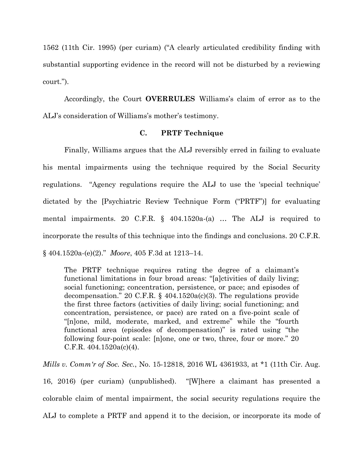1562 (11th Cir. 1995) (per curiam) ("A clearly articulated credibility finding with substantial supporting evidence in the record will not be disturbed by a reviewing court.").

Accordingly, the Court **OVERRULES** Williams's claim of error as to the ALJ's consideration of Williams's mother's testimony.

#### **C. PRTF Technique**

Finally, Williams argues that the ALJ reversibly erred in failing to evaluate his mental impairments using the technique required by the Social Security regulations. "Agency regulations require the ALJ to use the 'special technique' dictated by the [Psychiatric Review Technique Form ("PRTF")] for evaluating mental impairments. 20 C.F.R. § 404.1520a-(a) … The ALJ is required to incorporate the results of this technique into the findings and conclusions. 20 C.F.R. § 404.1520a-(e)(2)." *Moore*, 405 F.3d at 1213–14.

The PRTF technique requires rating the degree of a claimant's functional limitations in four broad areas: "[a]ctivities of daily living; social functioning; concentration, persistence, or pace; and episodes of decompensation." 20 C.F.R.  $\S$  404.1520a(c)(3). The regulations provide the first three factors (activities of daily living; social functioning; and concentration, persistence, or pace) are rated on a five-point scale of "[n]one, mild, moderate, marked, and extreme" while the "fourth functional area (episodes of decompensation)" is rated using "the following four-point scale: [n]one, one or two, three, four or more." 20 C.F.R.  $404.1520a(c)(4)$ .

*Mills v. Comm'r of Soc. Sec.*, No. 15-12818, 2016 WL 4361933, at \*1 (11th Cir. Aug. 16, 2016) (per curiam) (unpublished). "[W]here a claimant has presented a colorable claim of mental impairment, the social security regulations require the ALJ to complete a PRTF and append it to the decision, or incorporate its mode of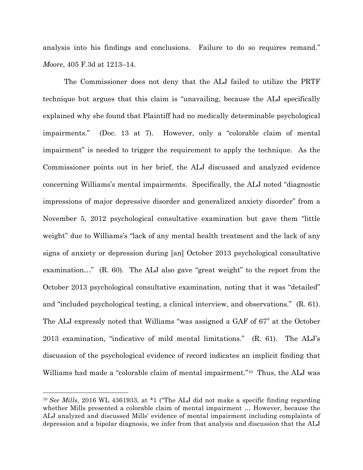analysis into his findings and conclusions. Failure to do so requires remand." *Moore*, 405 F.3d at 1213–14.

The Commissioner does not deny that the ALJ failed to utilize the PRTF technique but argues that this claim is "unavailing, because the ALJ specifically explained why she found that Plaintiff had no medically determinable psychological impairments." (Doc. 13 at 7). However, only a "colorable claim of mental impairment" is needed to trigger the requirement to apply the technique. As the Commissioner points out in her brief, the ALJ discussed and analyzed evidence concerning Williams's mental impairments. Specifically, the ALJ noted "diagnostic impressions of major depressive disorder and generalized anxiety disorder" from a November 5, 2012 psychological consultative examination but gave them "little weight" due to Williams's "lack of any mental health treatment and the lack of any signs of anxiety or depression during [an] October 2013 psychological consultative examination…" (R. 60). The ALJ also gave "great weight" to the report from the October 2013 psychological consultative examination, noting that it was "detailed" and "included psychological testing, a clinical interview, and observations." (R. 61). The ALJ expressly noted that Williams "was assigned a GAF of 67" at the October 2013 examination, "indicative of mild mental limitations." (R. 61). The ALJ's discussion of the psychological evidence of record indicates an implicit finding that Williams had made a "colorable claim of mental impairment."10 Thus, the ALJ was

 <sup>10</sup> *See Mills*, 2016 WL 4361933, at \*1 ("The ALJ did not make a specific finding regarding whether Mills presented a colorable claim of mental impairment … However, because the ALJ analyzed and discussed Mills' evidence of mental impairment including complaints of depression and a bipolar diagnosis, we infer from that analysis and discussion that the ALJ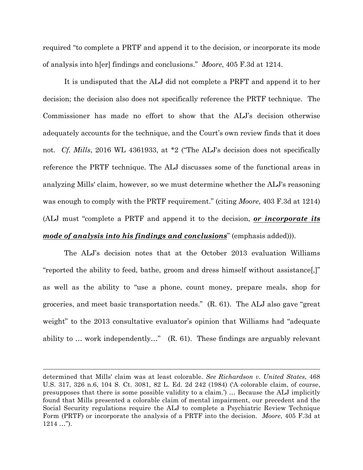required "to complete a PRTF and append it to the decision, or incorporate its mode of analysis into h[er] findings and conclusions." *Moore*, 405 F.3d at 1214.

It is undisputed that the ALJ did not complete a PRFT and append it to her decision; the decision also does not specifically reference the PRTF technique. The Commissioner has made no effort to show that the ALJ's decision otherwise adequately accounts for the technique, and the Court's own review finds that it does not. *Cf. Mills*, 2016 WL 4361933, at \*2 ("The ALJ's decision does not specifically reference the PRTF technique. The ALJ discusses some of the functional areas in analyzing Mills' claim, however, so we must determine whether the ALJ's reasoning was enough to comply with the PRTF requirement." (citing *Moore*, 403 F.3d at 1214) (ALJ must "complete a PRTF and append it to the decision, *or incorporate its mode of analysis into his findings and conclusions*" (emphasis added))).

The ALJ's decision notes that at the October 2013 evaluation Williams "reported the ability to feed, bathe, groom and dress himself without assistance[,]" as well as the ability to "use a phone, count money, prepare meals, shop for groceries, and meet basic transportation needs." (R. 61). The ALJ also gave "great weight" to the 2013 consultative evaluator's opinion that Williams had "adequate ability to … work independently…" (R. 61). These findings are arguably relevant

1

determined that Mills' claim was at least colorable. *See Richardson v. United States*, 468 U.S. 317, 326 n.6, 104 S. Ct. 3081, 82 L. Ed. 2d 242 (1984) ('A colorable claim, of course, presupposes that there is some possible validity to a claim.') … Because the ALJ implicitly found that Mills presented a colorable claim of mental impairment, our precedent and the Social Security regulations require the ALJ to complete a Psychiatric Review Technique Form (PRTF) or incorporate the analysis of a PRTF into the decision. *Moore*, 405 F.3d at 1214 …").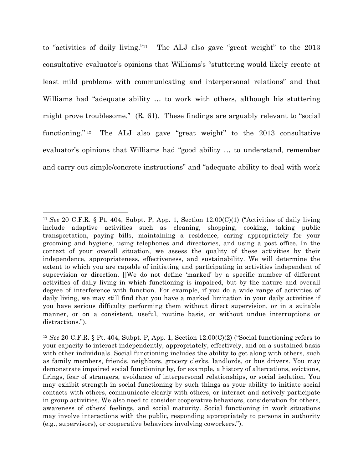to "activities of daily living."11 The ALJ also gave "great weight" to the 2013 consultative evaluator's opinions that Williams's "stuttering would likely create at least mild problems with communicating and interpersonal relations" and that Williams had "adequate ability … to work with others, although his stuttering might prove troublesome." (R. 61). These findings are arguably relevant to "social functioning." 12 The ALJ also gave "great weight" to the 2013 consultative evaluator's opinions that Williams had "good ability … to understand, remember and carry out simple/concrete instructions" and "adequate ability to deal with work

 <sup>11</sup> *See* 20 C.F.R. § Pt. 404, Subpt. P, App. 1, Section 12.00(C)(1) ("Activities of daily living include adaptive activities such as cleaning, shopping, cooking, taking public transportation, paying bills, maintaining a residence, caring appropriately for your grooming and hygiene, using telephones and directories, and using a post office. In the context of your overall situation, we assess the quality of these activities by their independence, appropriateness, effectiveness, and sustainability. We will determine the extent to which you are capable of initiating and participating in activities independent of supervision or direction. []We do not define 'marked' by a specific number of different activities of daily living in which functioning is impaired, but by the nature and overall degree of interference with function. For example, if you do a wide range of activities of daily living, we may still find that you have a marked limitation in your daily activities if you have serious difficulty performing them without direct supervision, or in a suitable manner, or on a consistent, useful, routine basis, or without undue interruptions or distractions.").

<sup>12</sup> *See* 20 C.F.R. § Pt. 404, Subpt. P, App. 1, Section 12.00(C)(2) ("Social functioning refers to your capacity to interact independently, appropriately, effectively, and on a sustained basis with other individuals. Social functioning includes the ability to get along with others, such as family members, friends, neighbors, grocery clerks, landlords, or bus drivers. You may demonstrate impaired social functioning by, for example, a history of altercations, evictions, firings, fear of strangers, avoidance of interpersonal relationships, or social isolation. You may exhibit strength in social functioning by such things as your ability to initiate social contacts with others, communicate clearly with others, or interact and actively participate in group activities. We also need to consider cooperative behaviors, consideration for others, awareness of others' feelings, and social maturity. Social functioning in work situations may involve interactions with the public, responding appropriately to persons in authority (e.g., supervisors), or cooperative behaviors involving coworkers.").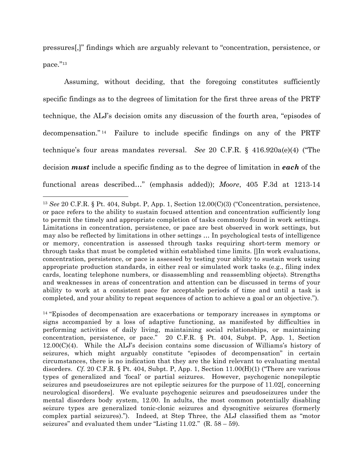pressures[,]" findings which are arguably relevant to "concentration, persistence, or pace."13

Assuming, without deciding, that the foregoing constitutes sufficiently specific findings as to the degrees of limitation for the first three areas of the PRTF technique, the ALJ's decision omits any discussion of the fourth area, "episodes of decompensation." 14 Failure to include specific findings on any of the PRTF technique's four areas mandates reversal. *See* 20 C.F.R. § 416.920a(e)(4) ("The decision *must* include a specific finding as to the degree of limitation in *each* of the functional areas described…" (emphasis added)); *Moore*, 405 F.3d at 1213-14

 <sup>13</sup> *See* 20 C.F.R. § Pt. 404, Subpt. P, App. 1, Section 12.00(C)(3) ("Concentration, persistence, or pace refers to the ability to sustain focused attention and concentration sufficiently long to permit the timely and appropriate completion of tasks commonly found in work settings. Limitations in concentration, persistence, or pace are best observed in work settings, but may also be reflected by limitations in other settings … In psychological tests of intelligence or memory, concentration is assessed through tasks requiring short-term memory or through tasks that must be completed within established time limits. []In work evaluations, concentration, persistence, or pace is assessed by testing your ability to sustain work using appropriate production standards, in either real or simulated work tasks (e.g., filing index cards, locating telephone numbers, or disassembling and reassembling objects). Strengths and weaknesses in areas of concentration and attention can be discussed in terms of your ability to work at a consistent pace for acceptable periods of time and until a task is completed, and your ability to repeat sequences of action to achieve a goal or an objective.").

<sup>&</sup>lt;sup>14</sup> "Episodes of decompensation are exacerbations or temporary increases in symptoms or signs accompanied by a loss of adaptive functioning, as manifested by difficulties in performing activities of daily living, maintaining social relationships, or maintaining concentration, persistence, or pace." 20 C.F.R. § Pt. 404, Subpt. P, App. 1, Section  $12.00(C)(4)$ . While the ALJ's decision contains some discussion of Williams's history of seizures, which might arguably constitute "episodes of decompensation" in certain circumstances, there is no indication that they are the kind relevant to evaluating mental disorders. *Cf.* 20 C.F.R. § Pt. 404, Subpt. P, App. 1, Section 11.00(H)(1) ("There are various types of generalized and 'focal' or partial seizures. However, psychogenic nonepileptic seizures and pseudoseizures are not epileptic seizures for the purpose of 11.02[, concerning neurological disorders]. We evaluate psychogenic seizures and pseudoseizures under the mental disorders body system, 12.00. In adults, the most common potentially disabling seizure types are generalized tonic-clonic seizures and dyscognitive seizures (formerly complex partial seizures)."). Indeed, at Step Three, the ALJ classified them as "motor seizures" and evaluated them under "Listing 11.02."  $(R. 58 - 59)$ .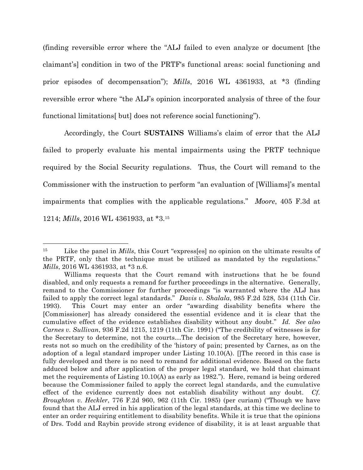(finding reversible error where the "ALJ failed to even analyze or document [the claimant's] condition in two of the PRTF's functional areas: social functioning and prior episodes of decompensation"); *Mills*, 2016 WL 4361933, at \*3 (finding reversible error where "the ALJ's opinion incorporated analysis of three of the four functional limitations[ but] does not reference social functioning").

Accordingly, the Court **SUSTAINS** Williams's claim of error that the ALJ failed to properly evaluate his mental impairments using the PRTF technique required by the Social Security regulations. Thus, the Court will remand to the Commissioner with the instruction to perform "an evaluation of [Williams]'s mental impairments that complies with the applicable regulations." *Moore*, 405 F.3d at 1214; *Mills*, 2016 WL 4361933, at \*3.15

<sup>&</sup>lt;sup>15</sup> Like the panel in *Mills*, this Court "express[es] no opinion on the ultimate results of the PRTF, only that the technique must be utilized as mandated by the regulations." *Mills*, 2016 WL 4361933, at \*3 n.6.

Williams requests that the Court remand with instructions that he be found disabled, and only requests a remand for further proceedings in the alternative. Generally, remand to the Commissioner for further proceedings "is warranted where the ALJ has failed to apply the correct legal standards." *Davis v. Shalala*, 985 F.2d 528, 534 (11th Cir. 1993). This Court may enter an order "awarding disability benefits where the [Commissioner] has already considered the essential evidence and it is clear that the cumulative effect of the evidence establishes disability without any doubt." *Id. See also Carnes v. Sullivan*, 936 F.2d 1215, 1219 (11th Cir. 1991) ("The credibility of witnesses is for the Secretary to determine, not the courts…The decision of the Secretary here, however, rests not so much on the credibility of the 'history of pain; presented by Carnes, as on the adoption of a legal standard improper under Listing 10.10(A). []The record in this case is fully developed and there is no need to remand for additional evidence. Based on the facts adduced below and after application of the proper legal standard, we hold that claimant met the requirements of Listing 10.10(A) as early as 1982."). Here, remand is being ordered because the Commissioner failed to apply the correct legal standards, and the cumulative effect of the evidence currently does not establish disability without any doubt. *Cf. Broughton v. Heckler*, 776 F.2d 960, 962 (11th Cir. 1985) (per curiam) ("Though we have found that the ALJ erred in his application of the legal standards, at this time we decline to enter an order requiring entitlement to disability benefits. While it is true that the opinions of Drs. Todd and Raybin provide strong evidence of disability, it is at least arguable that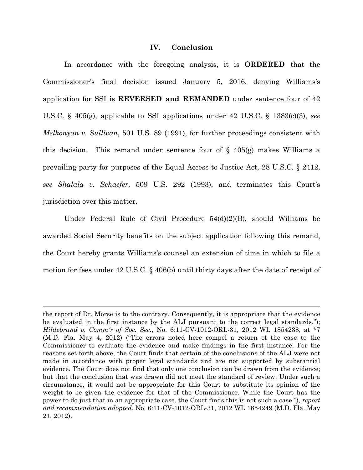#### **IV. Conclusion**

In accordance with the foregoing analysis, it is **ORDERED** that the Commissioner's final decision issued January 5, 2016, denying Williams's application for SSI is **REVERSED and REMANDED** under sentence four of 42 U.S.C. § 405(g), applicable to SSI applications under 42 U.S.C. § 1383(c)(3), *see Melkonyan v. Sullivan*, 501 U.S. 89 (1991), for further proceedings consistent with this decision. This remand under sentence four of  $\S$  405(g) makes Williams a prevailing party for purposes of the Equal Access to Justice Act, 28 U.S.C. § 2412, *see Shalala v. Schaefer*, 509 U.S. 292 (1993), and terminates this Court's jurisdiction over this matter.

Under Federal Rule of Civil Procedure 54(d)(2)(B), should Williams be awarded Social Security benefits on the subject application following this remand, the Court hereby grants Williams's counsel an extension of time in which to file a motion for fees under 42 U.S.C. § 406(b) until thirty days after the date of receipt of

1

the report of Dr. Morse is to the contrary. Consequently, it is appropriate that the evidence be evaluated in the first instance by the ALJ pursuant to the correct legal standards."); *Hildebrand v. Comm'r of Soc. Sec.*, No. 6:11-CV-1012-ORL-31, 2012 WL 1854238, at \*7 (M.D. Fla. May 4, 2012) ("The errors noted here compel a return of the case to the Commissioner to evaluate the evidence and make findings in the first instance. For the reasons set forth above, the Court finds that certain of the conclusions of the ALJ were not made in accordance with proper legal standards and are not supported by substantial evidence. The Court does not find that only one conclusion can be drawn from the evidence; but that the conclusion that was drawn did not meet the standard of review. Under such a circumstance, it would not be appropriate for this Court to substitute its opinion of the weight to be given the evidence for that of the Commissioner. While the Court has the power to do just that in an appropriate case, the Court finds this is not such a case."), *report and recommendation adopted*, No. 6:11-CV-1012-ORL-31, 2012 WL 1854249 (M.D. Fla. May 21, 2012).